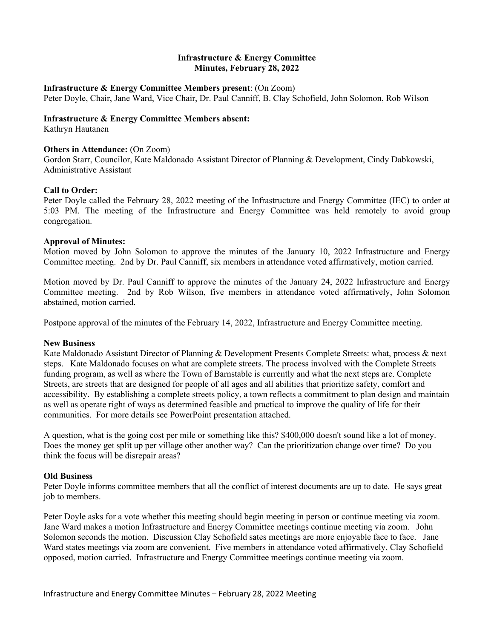# **Infrastructure & Energy Committee Minutes, February 28, 2022**

### **Infrastructure & Energy Committee Members present**: (On Zoom)

Peter Doyle, Chair, Jane Ward, Vice Chair, Dr. Paul Canniff, B. Clay Schofield, John Solomon, Rob Wilson

## **Infrastructure & Energy Committee Members absent:**

Kathryn Hautanen

## **Others in Attendance: (On Zoom)**

Gordon Starr, Councilor, Kate Maldonado Assistant Director of Planning & Development, Cindy Dabkowski, Administrative Assistant

## **Call to Order:**

Peter Doyle called the February 28, 2022 meeting of the Infrastructure and Energy Committee (IEC) to order at 5:03 PM. The meeting of the Infrastructure and Energy Committee was held remotely to avoid group congregation.

## **Approval of Minutes:**

Motion moved by John Solomon to approve the minutes of the January 10, 2022 Infrastructure and Energy Committee meeting. 2nd by Dr. Paul Canniff, six members in attendance voted affirmatively, motion carried.

Motion moved by Dr. Paul Canniff to approve the minutes of the January 24, 2022 Infrastructure and Energy Committee meeting. 2nd by Rob Wilson, five members in attendance voted affirmatively, John Solomon abstained, motion carried.

Postpone approval of the minutes of the February 14, 2022, Infrastructure and Energy Committee meeting.

#### **New Business**

Kate Maldonado Assistant Director of Planning & Development Presents Complete Streets: what, process & next steps. Kate Maldonado focuses on what are complete streets. The process involved with the Complete Streets funding program, as well as where the Town of Barnstable is currently and what the next steps are. Complete Streets, are streets that are designed for people of all ages and all abilities that prioritize safety, comfort and accessibility. By establishing a complete streets policy, a town reflects a commitment to plan design and maintain as well as operate right of ways as determined feasible and practical to improve the quality of life for their communities. For more details see PowerPoint presentation attached.

A question, what is the going cost per mile or something like this? \$400,000 doesn't sound like a lot of money. Does the money get split up per village other another way? Can the prioritization change over time? Do you think the focus will be disrepair areas?

#### **Old Business**

Peter Doyle informs committee members that all the conflict of interest documents are up to date. He says great job to members.

Peter Doyle asks for a vote whether this meeting should begin meeting in person or continue meeting via zoom. Jane Ward makes a motion Infrastructure and Energy Committee meetings continue meeting via zoom. John Solomon seconds the motion. Discussion Clay Schofield sates meetings are more enjoyable face to face. Jane Ward states meetings via zoom are convenient. Five members in attendance voted affirmatively, Clay Schofield opposed, motion carried. Infrastructure and Energy Committee meetings continue meeting via zoom.